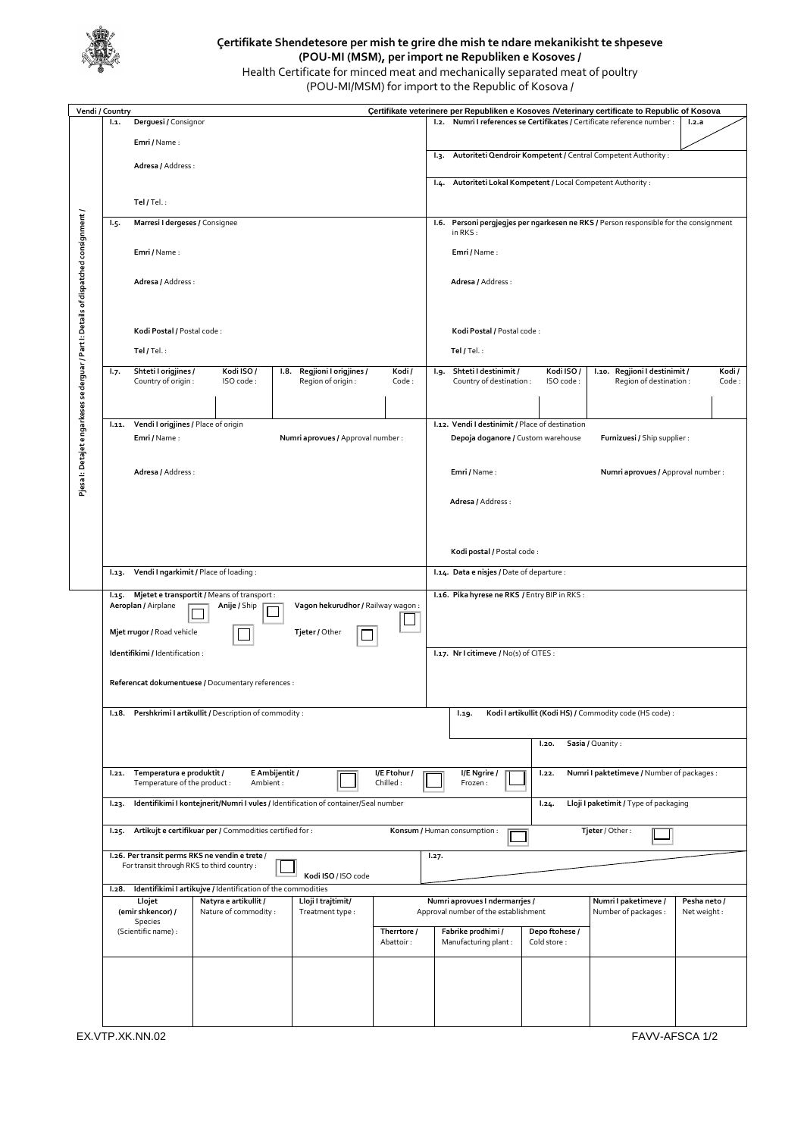

## **Çertifikate Shendetesore per mish te grire dhe mish te ndare mekanikisht te shpeseve (POU-MI (MSM), per import ne Republiken e Kosoves /**

Health Certificate for minced meat and mechanically separated meat of poultry (POU-MI/MSM) for import to the Republic of Kosova /

| Certifikate veterinere per Republiken e Kosoves /Veterinary certificate to Republic of Kosova<br>Vendi / Country |            |                                                                          |                                                              |                                                                                    |                          |                                                                                                                       |                                                                                                                        |                                                          |                                                                     |              |  |
|------------------------------------------------------------------------------------------------------------------|------------|--------------------------------------------------------------------------|--------------------------------------------------------------|------------------------------------------------------------------------------------|--------------------------|-----------------------------------------------------------------------------------------------------------------------|------------------------------------------------------------------------------------------------------------------------|----------------------------------------------------------|---------------------------------------------------------------------|--------------|--|
|                                                                                                                  | 1.1.       | Derguesi / Consignor                                                     |                                                              |                                                                                    |                          |                                                                                                                       | 1.2.                                                                                                                   |                                                          | Numri I references se Certifikates / Certificate reference number : | 1.2.a        |  |
|                                                                                                                  |            | Emri / Name:                                                             |                                                              |                                                                                    |                          |                                                                                                                       |                                                                                                                        |                                                          |                                                                     |              |  |
|                                                                                                                  |            |                                                                          |                                                              |                                                                                    |                          |                                                                                                                       | Autoriteti Qendroir Kompetent / Central Competent Authority :<br>Iз.                                                   |                                                          |                                                                     |              |  |
|                                                                                                                  |            | Adresa / Address :<br>Tel / Tel.:                                        |                                                              |                                                                                    |                          |                                                                                                                       |                                                                                                                        |                                                          |                                                                     |              |  |
|                                                                                                                  |            |                                                                          |                                                              |                                                                                    |                          |                                                                                                                       | Autoriteti Lokal Kompetent / Local Competent Authority :<br>1.4.                                                       |                                                          |                                                                     |              |  |
|                                                                                                                  |            |                                                                          |                                                              |                                                                                    |                          |                                                                                                                       |                                                                                                                        |                                                          |                                                                     |              |  |
|                                                                                                                  |            |                                                                          |                                                              |                                                                                    |                          |                                                                                                                       |                                                                                                                        |                                                          |                                                                     |              |  |
|                                                                                                                  | <b>1.5</b> | Marresi I dergeses / Consignee                                           |                                                              |                                                                                    |                          |                                                                                                                       | Personi pergjegjes per ngarkesen ne RKS / Person responsible for the consignment<br>1.6.<br>in $RKS$ :<br>Emri / Name: |                                                          |                                                                     |              |  |
|                                                                                                                  |            | Emri / Name:                                                             |                                                              |                                                                                    |                          |                                                                                                                       |                                                                                                                        |                                                          |                                                                     |              |  |
|                                                                                                                  |            |                                                                          |                                                              |                                                                                    |                          |                                                                                                                       |                                                                                                                        |                                                          |                                                                     |              |  |
|                                                                                                                  |            | Adresa / Address :                                                       |                                                              |                                                                                    |                          |                                                                                                                       | Adresa / Address :                                                                                                     |                                                          |                                                                     |              |  |
|                                                                                                                  |            |                                                                          |                                                              |                                                                                    |                          |                                                                                                                       |                                                                                                                        |                                                          |                                                                     |              |  |
|                                                                                                                  |            |                                                                          |                                                              |                                                                                    |                          |                                                                                                                       |                                                                                                                        |                                                          |                                                                     |              |  |
|                                                                                                                  |            |                                                                          |                                                              |                                                                                    |                          |                                                                                                                       |                                                                                                                        |                                                          |                                                                     |              |  |
|                                                                                                                  |            | Kodi Postal / Postal code:                                               |                                                              |                                                                                    |                          |                                                                                                                       | Kodi Postal / Postal code:                                                                                             |                                                          |                                                                     |              |  |
|                                                                                                                  |            | Tel / Tel.:                                                              |                                                              |                                                                                    |                          |                                                                                                                       | Tel / Tel.:                                                                                                            |                                                          |                                                                     |              |  |
| Pjesa I: Detajet e ngarkeses se derguar / Part I: Details of dispatched consignment /                            |            |                                                                          |                                                              |                                                                                    |                          |                                                                                                                       |                                                                                                                        |                                                          |                                                                     |              |  |
|                                                                                                                  | 1.7.       | Shteti I origjines /                                                     | Kodi ISO/                                                    | Regjioni I origjines /<br>Kodi/<br>I.8.                                            |                          |                                                                                                                       | Shteti I destinimit /<br>.و.ا                                                                                          | Kodi ISO/                                                | I.10. Regjioni I destinimit /                                       | Kodi /       |  |
|                                                                                                                  |            | Country of origin :                                                      | ISO code:                                                    | Region of origin:                                                                  | Code:                    |                                                                                                                       | Country of destination :                                                                                               | ISO code:                                                | Region of destination :                                             | Code:        |  |
|                                                                                                                  |            |                                                                          |                                                              |                                                                                    |                          |                                                                                                                       |                                                                                                                        |                                                          |                                                                     |              |  |
|                                                                                                                  | 1.11.      | Vendi I origjines / Place of origin                                      |                                                              |                                                                                    |                          |                                                                                                                       |                                                                                                                        |                                                          |                                                                     |              |  |
|                                                                                                                  |            | Emri / Name:                                                             |                                                              | Numri aprovues / Approval number :                                                 |                          | I.12. Vendi I destinimit / Place of destination<br>Furnizuesi / Ship supplier :<br>Depoja doganore / Custom warehouse |                                                                                                                        |                                                          |                                                                     |              |  |
|                                                                                                                  |            |                                                                          |                                                              |                                                                                    |                          |                                                                                                                       |                                                                                                                        |                                                          |                                                                     |              |  |
|                                                                                                                  |            |                                                                          |                                                              |                                                                                    |                          |                                                                                                                       |                                                                                                                        |                                                          |                                                                     |              |  |
|                                                                                                                  |            | Adresa / Address :                                                       |                                                              |                                                                                    |                          |                                                                                                                       | Emri / Name:                                                                                                           |                                                          | Numri aprovues / Approval number :                                  |              |  |
|                                                                                                                  |            |                                                                          |                                                              |                                                                                    |                          |                                                                                                                       |                                                                                                                        |                                                          |                                                                     |              |  |
|                                                                                                                  |            |                                                                          |                                                              |                                                                                    |                          |                                                                                                                       | Adresa / Address :                                                                                                     |                                                          |                                                                     |              |  |
|                                                                                                                  |            |                                                                          |                                                              |                                                                                    |                          |                                                                                                                       |                                                                                                                        |                                                          |                                                                     |              |  |
|                                                                                                                  |            |                                                                          |                                                              |                                                                                    |                          |                                                                                                                       |                                                                                                                        |                                                          |                                                                     |              |  |
|                                                                                                                  |            |                                                                          |                                                              |                                                                                    |                          |                                                                                                                       | Kodi postal / Postal code:                                                                                             |                                                          |                                                                     |              |  |
|                                                                                                                  | 1.13.      | Vendi I ngarkimit / Place of loading :                                   |                                                              |                                                                                    |                          |                                                                                                                       | I.14. Data e nisjes / Date of departure :                                                                              |                                                          |                                                                     |              |  |
|                                                                                                                  |            |                                                                          |                                                              |                                                                                    |                          |                                                                                                                       |                                                                                                                        |                                                          |                                                                     |              |  |
|                                                                                                                  | 1.15.      | Mjetet e transportit / Means of transport :                              |                                                              |                                                                                    |                          |                                                                                                                       | I.16. Pika hyrese ne RKS / Entry BIP in RKS :                                                                          |                                                          |                                                                     |              |  |
|                                                                                                                  |            | Aeroplan / Airplane<br>Vagon hekurudhor / Railway wagon:<br>Anije / Ship |                                                              |                                                                                    |                          |                                                                                                                       |                                                                                                                        |                                                          |                                                                     |              |  |
|                                                                                                                  |            | Mjet rrugor / Road vehicle<br>Tjeter / Other                             |                                                              |                                                                                    |                          |                                                                                                                       |                                                                                                                        |                                                          |                                                                     |              |  |
|                                                                                                                  |            |                                                                          |                                                              |                                                                                    |                          |                                                                                                                       |                                                                                                                        |                                                          |                                                                     |              |  |
|                                                                                                                  |            | Identifikimi / Identification :                                          |                                                              |                                                                                    |                          |                                                                                                                       | I.17. Nr I citimeve / No(s) of CITES :                                                                                 |                                                          |                                                                     |              |  |
|                                                                                                                  |            |                                                                          |                                                              |                                                                                    |                          |                                                                                                                       |                                                                                                                        |                                                          |                                                                     |              |  |
|                                                                                                                  |            |                                                                          | Referencat dokumentuese / Documentary references :           |                                                                                    |                          |                                                                                                                       |                                                                                                                        |                                                          |                                                                     |              |  |
|                                                                                                                  |            |                                                                          |                                                              |                                                                                    |                          |                                                                                                                       |                                                                                                                        |                                                          |                                                                     |              |  |
|                                                                                                                  |            |                                                                          | I.18. Pershkrimi I artikullit / Description of commodity :   |                                                                                    |                          | 1.19.                                                                                                                 |                                                                                                                        | Kodi I artikullit (Kodi HS) / Commodity code (HS code) : |                                                                     |              |  |
|                                                                                                                  |            |                                                                          |                                                              |                                                                                    |                          |                                                                                                                       |                                                                                                                        |                                                          |                                                                     |              |  |
|                                                                                                                  |            |                                                                          |                                                              |                                                                                    |                          |                                                                                                                       | Sasia / Quanity :<br>1.20.                                                                                             |                                                          |                                                                     |              |  |
|                                                                                                                  |            |                                                                          |                                                              |                                                                                    |                          |                                                                                                                       |                                                                                                                        |                                                          |                                                                     |              |  |
|                                                                                                                  | 1.21.      | Temperatura e produktit /<br>Temperature of the product:                 | Ambient:                                                     | E Ambijentit /                                                                     | I/E Ftohur /<br>Chilled: | Numri I paktetimeve / Number of packages :<br>I/E Ngrire /<br>1.22.<br>Frozen:                                        |                                                                                                                        |                                                          |                                                                     |              |  |
|                                                                                                                  |            |                                                                          |                                                              |                                                                                    |                          |                                                                                                                       |                                                                                                                        |                                                          |                                                                     |              |  |
|                                                                                                                  | 1.23.      |                                                                          |                                                              | Identifikimi I kontejnerit/Numri I vules / Identification of container/Seal number |                          |                                                                                                                       | 1.24.                                                                                                                  | Lloji I paketimit / Type of packaging                    |                                                                     |              |  |
|                                                                                                                  | 1.25.      |                                                                          | Artikujt e certifikuar per / Commodities certified for :     |                                                                                    |                          |                                                                                                                       | Konsum / Human consumption :                                                                                           |                                                          | Tjeter / Other:                                                     |              |  |
|                                                                                                                  |            |                                                                          |                                                              |                                                                                    |                          |                                                                                                                       |                                                                                                                        |                                                          |                                                                     |              |  |
|                                                                                                                  |            |                                                                          | I.26. Per transit perms RKS ne vendin e trete /              |                                                                                    |                          | 1.27.                                                                                                                 |                                                                                                                        |                                                          |                                                                     |              |  |
|                                                                                                                  |            |                                                                          | For transit through RKS to third country :                   | Kodi ISO / ISO code                                                                |                          |                                                                                                                       |                                                                                                                        |                                                          |                                                                     |              |  |
|                                                                                                                  | 1.28.      |                                                                          | Identifikimi I artikujve / Identification of the commodities |                                                                                    |                          |                                                                                                                       |                                                                                                                        |                                                          |                                                                     |              |  |
|                                                                                                                  |            | Llojet                                                                   | Natyra e artikullit /                                        | Lloji I trajtimit/                                                                 |                          |                                                                                                                       | Numri aprovues I ndermarrjes /                                                                                         |                                                          | Numri I paketimeve /                                                | Pesha neto / |  |
|                                                                                                                  |            | (emir shkencor) /<br>Species<br>(Scientific name) :                      | Nature of commodity :                                        | Treatment type:                                                                    | Therrtore /              | Approval number of the establishment                                                                                  |                                                                                                                        |                                                          | Number of packages :                                                | Net weight:  |  |
|                                                                                                                  |            |                                                                          |                                                              |                                                                                    |                          |                                                                                                                       | Fabrike prodhimi /                                                                                                     | Depo ftohese /                                           |                                                                     |              |  |
|                                                                                                                  |            |                                                                          |                                                              |                                                                                    | Abattoir:                |                                                                                                                       | Manufacturing plant:                                                                                                   | Cold store:                                              |                                                                     |              |  |
|                                                                                                                  |            |                                                                          |                                                              |                                                                                    |                          |                                                                                                                       |                                                                                                                        |                                                          |                                                                     |              |  |
|                                                                                                                  |            |                                                                          |                                                              |                                                                                    |                          |                                                                                                                       |                                                                                                                        |                                                          |                                                                     |              |  |
|                                                                                                                  |            |                                                                          |                                                              |                                                                                    |                          |                                                                                                                       |                                                                                                                        |                                                          |                                                                     |              |  |
|                                                                                                                  |            |                                                                          |                                                              |                                                                                    |                          |                                                                                                                       |                                                                                                                        |                                                          |                                                                     |              |  |
|                                                                                                                  |            |                                                                          |                                                              |                                                                                    |                          |                                                                                                                       |                                                                                                                        |                                                          |                                                                     |              |  |